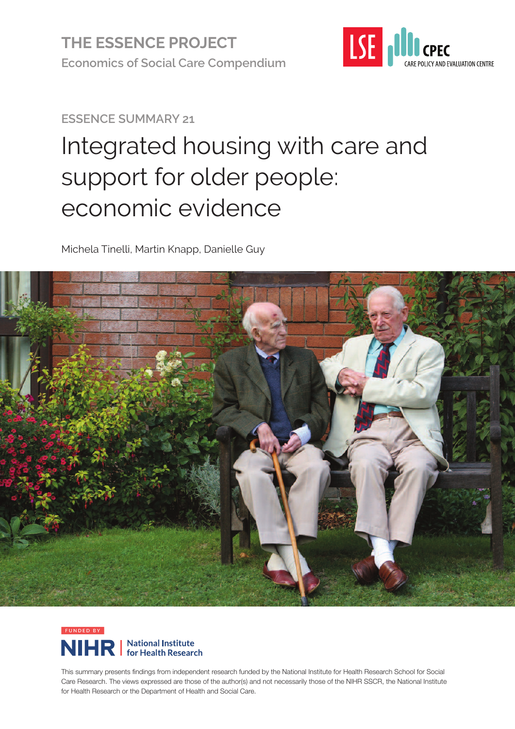

**ESSENCE SUMMARY 21**

# Integrated housing with care and support for older people: economic evidence

Michela Tinelli, Martin Knapp, Danielle Guy





This summary presents findings from independent research funded by the National Institute for Health Research School for Social Care Research. The views expressed are those of the author(s) and not necessarily those of the NIHR SSCR, the National Institute for Health Research or the Department of Health and Social Care.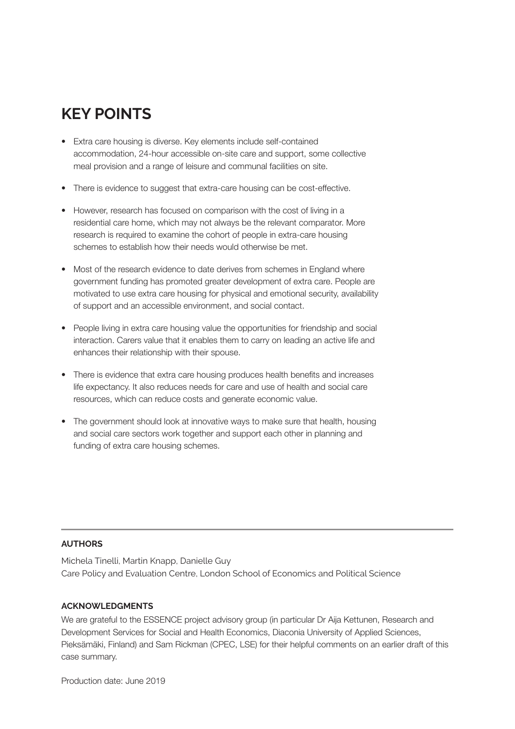# **KEY POINTS**

- Extra care housing is diverse. Key elements include self-contained accommodation, 24-hour accessible on-site care and support, some collective meal provision and a range of leisure and communal facilities on site.
- There is evidence to suggest that extra-care housing can be cost-effective.
- However, research has focused on comparison with the cost of living in a residential care home, which may not always be the relevant comparator. More research is required to examine the cohort of people in extra-care housing schemes to establish how their needs would otherwise be met.
- Most of the research evidence to date derives from schemes in England where government funding has promoted greater development of extra care. People are motivated to use extra care housing for physical and emotional security, availability of support and an accessible environment, and social contact.
- People living in extra care housing value the opportunities for friendship and social interaction. Carers value that it enables them to carry on leading an active life and enhances their relationship with their spouse.
- There is evidence that extra care housing produces health benefits and increases life expectancy. It also reduces needs for care and use of health and social care resources, which can reduce costs and generate economic value.
- The government should look at innovative ways to make sure that health, housing and social care sectors work together and support each other in planning and funding of extra care housing schemes.

#### **AUTHORS**

Michela Tinelli, Martin Knapp, Danielle Guy Care Policy and Evaluation Centre, London School of Economics and Political Science

#### **ACKNOWLEDGMENTS**

We are grateful to the ESSENCE project advisory group (in particular Dr Aija Kettunen, Research and Development Services for Social and Health Economics, Diaconia University of Applied Sciences, Pieksämäki, Finland) and Sam Rickman (CPEC, LSE) for their helpful comments on an earlier draft of this case summary.

Production date: June 2019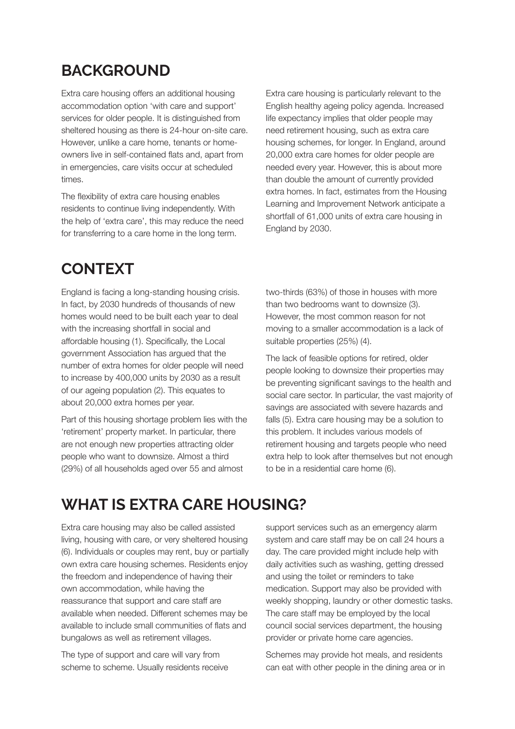### **BACKGROUND**

Extra care housing offers an additional housing accommodation option 'with care and support' services for older people. It is distinguished from sheltered housing as there is 24-hour on-site care. However, unlike a care home, tenants or homeowners live in self-contained flats and, apart from in emergencies, care visits occur at scheduled times.

The flexibility of extra care housing enables residents to continue living independently. With the help of 'extra care', this may reduce the need for transferring to a care home in the long term.

**CONTEXT**

England is facing a long-standing housing crisis. In fact, by 2030 hundreds of thousands of new homes would need to be built each year to deal with the increasing shortfall in social and affordable housing (1). Specifically, the Local government Association has argued that the number of extra homes for older people will need to increase by 400,000 units by 2030 as a result of our ageing population (2). This equates to about 20,000 extra homes per year.

Part of this housing shortage problem lies with the 'retirement' property market. In particular, there are not enough new properties attracting older people who want to downsize. Almost a third (29%) of all households aged over 55 and almost

Extra care housing is particularly relevant to the English healthy ageing policy agenda. Increased life expectancy implies that older people may need retirement housing, such as extra care housing schemes, for longer. In England, around 20,000 extra care homes for older people are needed every year. However, this is about more than double the amount of currently provided extra homes. In fact, estimates from the Housing Learning and Improvement Network anticipate a shortfall of 61,000 units of extra care housing in England by 2030.

two-thirds (63%) of those in houses with more than two bedrooms want to downsize (3). However, the most common reason for not moving to a smaller accommodation is a lack of suitable properties (25%) (4).

The lack of feasible options for retired, older people looking to downsize their properties may be preventing significant savings to the health and social care sector. In particular, the vast majority of savings are associated with severe hazards and falls (5). Extra care housing may be a solution to this problem. It includes various models of retirement housing and targets people who need extra help to look after themselves but not enough to be in a residential care home (6).

# **WHAT IS EXTRA CARE HOUSING?**

Extra care housing may also be called assisted living, housing with care, or very sheltered housing (6). Individuals or couples may rent, buy or partially own extra care housing schemes. Residents enjoy the freedom and independence of having their own accommodation, while having the reassurance that support and care staff are available when needed. Different schemes may be available to include small communities of flats and bungalows as well as retirement villages.

The type of support and care will vary from scheme to scheme. Usually residents receive

support services such as an emergency alarm system and care staff may be on call 24 hours a day. The care provided might include help with daily activities such as washing, getting dressed and using the toilet or reminders to take medication. Support may also be provided with weekly shopping, laundry or other domestic tasks. The care staff may be employed by the local council social services department, the housing provider or private home care agencies.

Schemes may provide hot meals, and residents can eat with other people in the dining area or in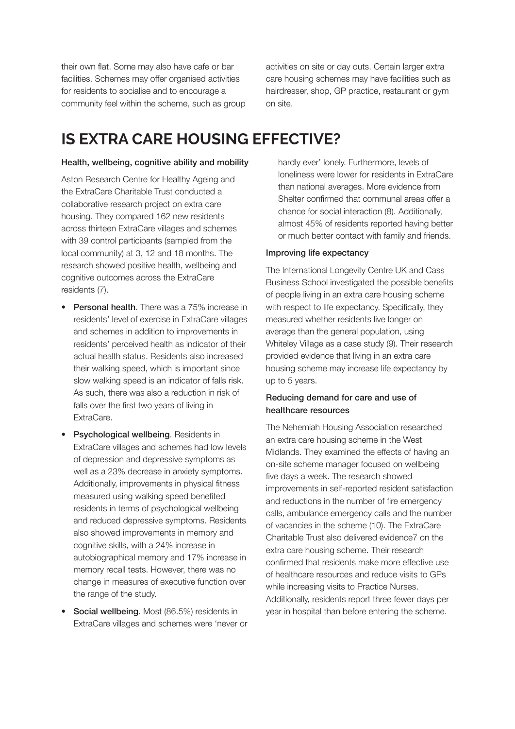their own flat. Some may also have cafe or bar facilities. Schemes may offer organised activities for residents to socialise and to encourage a community feel within the scheme, such as group activities on site or day outs. Certain larger extra care housing schemes may have facilities such as hairdresser, shop, GP practice, restaurant or gym on site.

# **IS EXTRA CARE HOUSING EFFECTIVE?**

#### Health, wellbeing, cognitive ability and mobility

Aston Research Centre for Healthy Ageing and the ExtraCare Charitable Trust conducted a collaborative research project on extra care housing. They compared 162 new residents across thirteen ExtraCare villages and schemes with 39 control participants (sampled from the local community) at 3, 12 and 18 months. The research showed positive health, wellbeing and cognitive outcomes across the ExtraCare residents (7).

- Personal health. There was a 75% increase in residents' level of exercise in ExtraCare villages and schemes in addition to improvements in residents' perceived health as indicator of their actual health status. Residents also increased their walking speed, which is important since slow walking speed is an indicator of falls risk. As such, there was also a reduction in risk of falls over the first two years of living in ExtraCare.
- Psychological wellbeing. Residents in ExtraCare villages and schemes had low levels of depression and depressive symptoms as well as a 23% decrease in anxiety symptoms. Additionally, improvements in physical fitness measured using walking speed benefited residents in terms of psychological wellbeing and reduced depressive symptoms. Residents also showed improvements in memory and cognitive skills, with a 24% increase in autobiographical memory and 17% increase in memory recall tests. However, there was no change in measures of executive function over the range of the study.
- Social wellbeing. Most (86.5%) residents in ExtraCare villages and schemes were 'never or

hardly ever' lonely. Furthermore, levels of loneliness were lower for residents in ExtraCare than national averages. More evidence from Shelter confirmed that communal areas offer a chance for social interaction (8). Additionally, almost 45% of residents reported having better or much better contact with family and friends.

#### Improving life expectancy

The International Longevity Centre UK and Cass Business School investigated the possible benefits of people living in an extra care housing scheme with respect to life expectancy. Specifically, they measured whether residents live longer on average than the general population, using Whiteley Village as a case study (9). Their research provided evidence that living in an extra care housing scheme may increase life expectancy by up to 5 years.

#### Reducing demand for care and use of healthcare resources

The Nehemiah Housing Association researched an extra care housing scheme in the West Midlands. They examined the effects of having an on-site scheme manager focused on wellbeing five days a week. The research showed improvements in self-reported resident satisfaction and reductions in the number of fire emergency calls, ambulance emergency calls and the number of vacancies in the scheme (10). The ExtraCare Charitable Trust also delivered evidence7 on the extra care housing scheme. Their research confirmed that residents make more effective use of healthcare resources and reduce visits to GPs while increasing visits to Practice Nurses. Additionally, residents report three fewer days per year in hospital than before entering the scheme.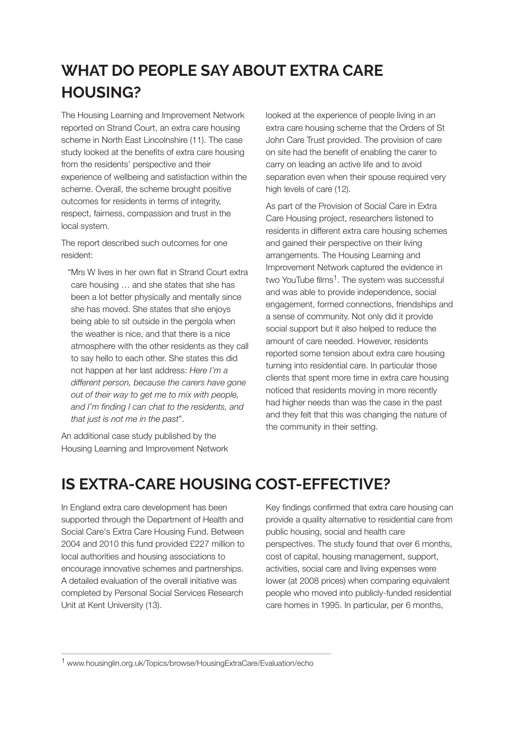# **WHAT DO PEOPLE SAY ABOUT EXTRA CARE HOUSING?**

The Housing Learning and Improvement Network reported on Strand Court, an extra care housing scheme in North East Lincolnshire (11). The case study looked at the benefits of extra care housing from the residents' perspective and their experience of wellbeing and satisfaction within the scheme. Overall, the scheme brought positive outcomes for residents in terms of integrity, respect, fairness, compassion and trust in the local system.

The report described such outcomes for one resident:

"Mrs W lives in her own flat in Strand Court extra care housing … and she states that she has been a lot better physically and mentally since she has moved. She states that she enjoys being able to sit outside in the pergola when the weather is nice, and that there is a nice atmosphere with the other residents as they call to say hello to each other. She states this did not happen at her last address: *Here I'm a different person, because the carers have gone out of their way to get me to mix with people, and I'm finding I can chat to the residents, and that just is not me in the past*".

An additional case study published by the Housing Learning and Improvement Network looked at the experience of people living in an extra care housing scheme that the Orders of St John Care Trust provided. The provision of care on site had the benefit of enabling the carer to carry on leading an active life and to avoid separation even when their spouse required very high levels of care (12).

As part of the Provision of Social Care in Extra Care Housing project, researchers listened to residents in different extra care housing schemes and gained their perspective on their living arrangements. The Housing Learning and Improvement Network captured the evidence in two YouTube films<sup>1</sup>. The system was successful and was able to provide independence, social engagement, formed connections, friendships and a sense of community. Not only did it provide social support but it also helped to reduce the amount of care needed. However, residents reported some tension about extra care housing turning into residential care. In particular those clients that spent more time in extra care housing noticed that residents moving in more recently had higher needs than was the case in the past and they felt that this was changing the nature of the community in their setting.

# **IS EXTRA-CARE HOUSING COST-EFFECTIVE?**

In England extra care development has been supported through the Department of Health and Social Care's Extra Care Housing Fund. Between 2004 and 2010 this fund provided £227 million to local authorities and housing associations to encourage innovative schemes and partnerships. A detailed evaluation of the overall initiative was completed by Personal Social Services Research Unit at Kent University (13).

Key findings confirmed that extra care housing can provide a quality alternative to residential care from public housing, social and health care perspectives. The study found that over 6 months, cost of capital, housing management, support, activities, social care and living expenses were lower (at 2008 prices) when comparing equivalent people who moved into publicly-funded residential care homes in 1995. In particular, per 6 months,

[1](https://www.housinglin.org.uk/Topics/browse/HousingExtraCare/Evaluation/echo) www.housinglin.org.uk/Topics/browse/HousingExtraCare/Evaluation/ech[o](https://www.housinglin.org.uk/Topics/browse/HousingExtraCare/Evaluation/echo)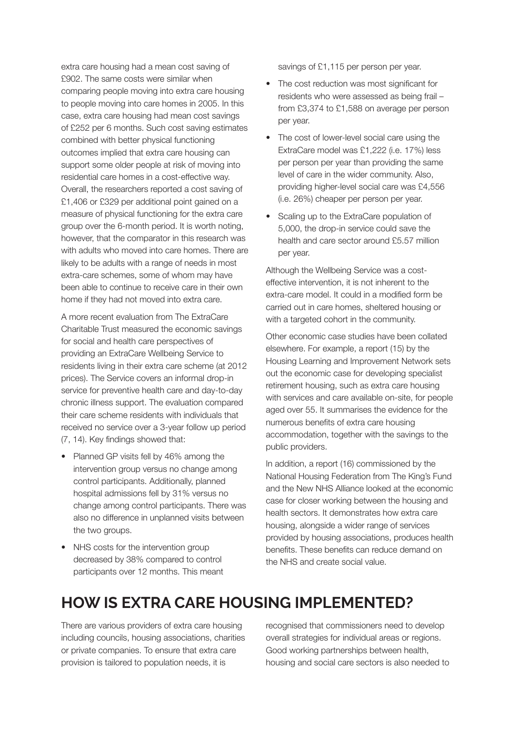extra care housing had a mean cost saving of £902. The same costs were similar when comparing people moving into extra care housing to people moving into care homes in 2005. In this case, extra care housing had mean cost savings of £252 per 6 months. Such cost saving estimates combined with better physical functioning outcomes implied that extra care housing can support some older people at risk of moving into residential care homes in a cost-effective way. Overall, the researchers reported a cost saving of £1,406 or £329 per additional point gained on a measure of physical functioning for the extra care group over the 6-month period. It is worth noting, however, that the comparator in this research was with adults who moved into care homes. There are likely to be adults with a range of needs in most extra-care schemes, some of whom may have been able to continue to receive care in their own home if they had not moved into extra care.

A more recent evaluation from The ExtraCare Charitable Trust measured the economic savings for social and health care perspectives of providing an ExtraCare Wellbeing Service to residents living in their extra care scheme (at 2012 prices). The Service covers an informal drop-in service for preventive health care and day-to-day chronic illness support. The evaluation compared their care scheme residents with individuals that received no service over a 3-year follow up period (7, 14). Key findings showed that:

- Planned GP visits fell by 46% among the intervention group versus no change among control participants. Additionally, planned hospital admissions fell by 31% versus no change among control participants. There was also no difference in unplanned visits between the two groups.
- NHS costs for the intervention group decreased by 38% compared to control participants over 12 months. This meant

savings of £1,115 per person per year.

- The cost reduction was most significant for residents who were assessed as being frail – from £3,374 to £1,588 on average per person per year.
- The cost of lower-level social care using the ExtraCare model was £1,222 (i.e. 17%) less per person per year than providing the same level of care in the wider community. Also, providing higher-level social care was £4,556 (i.e. 26%) cheaper per person per year.
- Scaling up to the ExtraCare population of 5,000, the drop-in service could save the health and care sector around £5.57 million per year.

Although the Wellbeing Service was a costeffective intervention, it is not inherent to the extra-care model. It could in a modified form be carried out in care homes, sheltered housing or with a targeted cohort in the community.

Other economic case studies have been collated elsewhere. For example, a report (15) by the Housing Learning and Improvement Network sets out the economic case for developing specialist retirement housing, such as extra care housing with services and care available on-site, for people aged over 55. It summarises the evidence for the numerous benefits of extra care housing accommodation, together with the savings to the public providers.

In addition, a report (16) commissioned by the National Housing Federation from The King's Fund and the New NHS Alliance looked at the economic case for closer working between the housing and health sectors. It demonstrates how extra care housing, alongside a wider range of services provided by housing associations, produces health benefits. These benefits can reduce demand on the NHS and create social value.

# **HOW IS EXTRA CARE HOUSING IMPLEMENTED?**

There are various providers of extra care housing including councils, housing associations, charities or private companies. To ensure that extra care provision is tailored to population needs, it is

recognised that commissioners need to develop overall strategies for individual areas or regions. Good working partnerships between health, housing and social care sectors is also needed to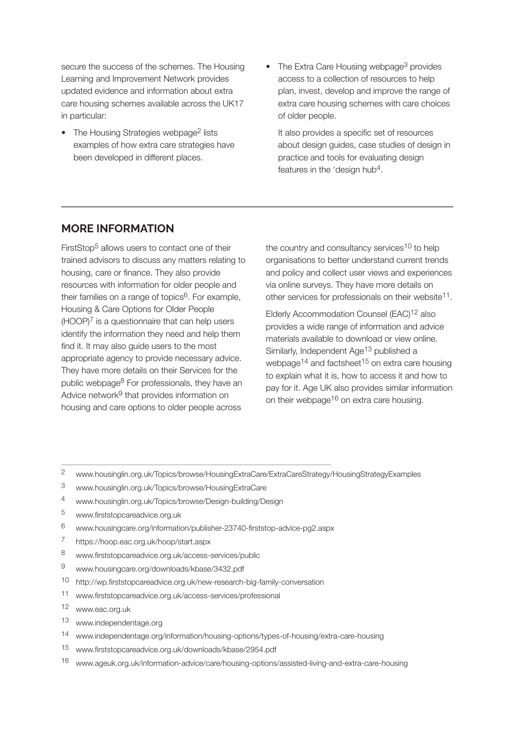secure the success of the schemes. The Housing Learning and Improvement Network provides updated evidence and information about extra care housing schemes available across the UK17 in particular:

- The Housing Strategies webpage<sup>2</sup> lists examples of how extra care strategies have been developed in different places.
- The Extra Care Housing webpage<sup>3</sup> provides access to a collection of resources to help plan, invest, develop and improve the range of extra care housing schemes with care choices of older people.

It also provides a specific set of resources about design guides, case studies of design in practice and tools for evaluating design features in the 'design hub4.

#### **MORE INFORMATION**

FirstStop5 allows users to contact one of their trained advisors to discuss any matters relating to housing, care or finance. They also provide resources with information for older people and their families on a range of topics $6$ . For example, Housing & Care Options for Older People  $(HOOP)<sup>7</sup>$  is a questionnaire that can help users identify the information they need and help them find it. It may also guide users to the most appropriate agency to provide necessary advice. They have more details on their Services for the public webpage8 For professionals, they have an Advice network<sup>9</sup> that provides information on housing and care options to older people across

the country and consultancy services<sup>10</sup> to help organisations to better understand current trends and policy and collect user views and experiences via online surveys. They have more details on other services for professionals on their website<sup>11</sup>.

Elderly Accommodation Counsel (EAC)<sup>12</sup> also provides a wide range of information and advice materials available to download or view online. Similarly, Independent Age<sup>13</sup> published a webpage<sup>14</sup> and factsheet<sup>15</sup> on extra care housing to explain what it is, how to access it and how to pay for it. Age UK also provides similar information on their webpage<sup>16</sup> on extra care housing.

- [2](https://www.housinglin.org.uk/Topics/browse/HousingExtraCare/ExtraCareStrategy/HousingStrategyExamples) www.housinglin.org.uk/Topics/browse/HousingExtraCare/ExtraCareStrategy/HousingStrategyExample[s](https://www.housinglin.org.uk/Topics/browse/HousingExtraCare/ExtraCareStrategy/HousingStrategyExamples)
- [3](https://www.housinglin.org.uk/Topics/browse/HousingExtraCare) www.housinglin.org.uk/Topics/browse/HousingExtraCar[e](https://www.housinglin.org.uk/Topics/browse/HousingExtraCare)
- [4](https://www.housinglin.org.uk/Topics/browse/Design-building/Design) www.housinglin.org.uk/Topics/browse/Design-building/Desig[n](https://www.housinglin.org.uk/Topics/browse/Design-building/Design)
- [5](http://www.firststopcareadvice.org.uk) www.firststopcareadvice.org.u[k](http://www.firststopcareadvice.org.uk)
- [6](http://www.housingcare.org/information/publisher-23740-firststop-advice-pg2.aspx) www.housingcare.org/information/publisher-23740-firststop-advice-pg2.asp[x](http://www.housingcare.org/information/publisher-23740-firststop-advice-pg2.aspx)
- 7 <https://hoop.eac.org.uk/hoop/start.aspx>
- [8](http://www.firststopcareadvice.org.uk/access-services/public) www.firststopcareadvice.org.uk/access-services/publi[c](http://www.firststopcareadvice.org.uk/access-services/public)
- [9](http://www.housingcare.org/downloads/kbase/3432.pdf) www.housingcare.org/downloads/kbase/3432.pd[f](http://www.housingcare.org/downloads/kbase/3432.pdf)
- 10 <http://wp.firststopcareadvice.org.uk/new-research-big-family-conversation>
- [1](http://www.firststopcareadvice.org.uk/access-services/professional)1 www.firststopcareadvice.org.uk/access-services/professiona[l](http://www.firststopcareadvice.org.uk/access-services/professional)
- [1](http://www.firststopcareadvice.org.uk/access-services/professional)2 www.eac.org.u[k](http://www.firststopcareadvice.org.uk/access-services/professional)
- [1](https://www.independentage.org)3 www.independentage.or[g](https://www.independentage.org)
- [1](https://www.independentage.org/information/housing-options/types-of-housing/extra-care-housing)4 www.independentage.org/information/housing-options/types-of-housing/extra-care-housin[g](https://www.independentage.org/information/housing-options/types-of-housing/extra-care-housing)
- [1](http://www.firststopcareadvice.org.uk/downloads/kbase/2954.pdf)5 www.firststopcareadvice.org.uk/downloads/kbase/2954.pd[f](http://www.firststopcareadvice.org.uk/downloads/kbase/2954.pdf)
- [1](https://www.ageuk.org.uk/information-advice/care/housing-options/assisted-living-and-extra-care-housing)6 www.ageuk.org.uk/information-advice/care/housing-options/assisted-living-and-extra-care-housin[g](https://www.ageuk.org.uk/information-advice/care/housing-options/assisted-living-and-extra-care-housing)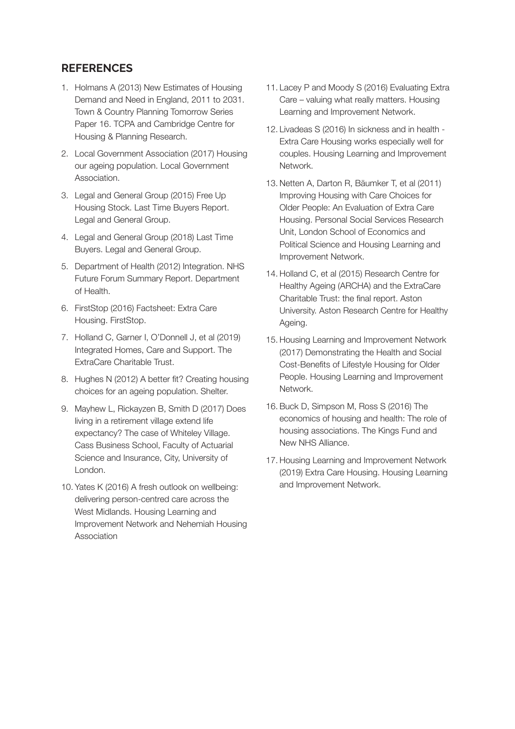#### **REFERENCES**

- 1. Holmans A (2013) New Estimates of Housing Demand and Need in England, 2011 to 2031. Town & Country Planning Tomorrow Series Paper 16. TCPA and Cambridge Centre for Housing & Planning Research.
- 2. Local Government Association (2017) Housing our ageing population. Local Government **Association**
- 3. Legal and General Group (2015) Free Up Housing Stock. Last Time Buyers Report. Legal and General Group.
- 4. Legal and General Group (2018) Last Time Buyers. Legal and General Group.
- 5. Department of Health (2012) Integration. NHS Future Forum Summary Report. Department of Health.
- 6. FirstStop (2016) Factsheet: Extra Care Housing. FirstStop.
- 7. Holland C, Garner I, O'Donnell J, et al (2019) Integrated Homes, Care and Support. The ExtraCare Charitable Trust.
- 8. Hughes N (2012) A better fit? Creating housing choices for an ageing population. Shelter.
- 9. Mayhew L, Rickayzen B, Smith D (2017) Does living in a retirement village extend life expectancy? The case of Whiteley Village. Cass Business School, Faculty of Actuarial Science and Insurance, City, University of London.
- 10. Yates K (2016) A fresh outlook on wellbeing: delivering person-centred care across the West Midlands. Housing Learning and Improvement Network and Nehemiah Housing Association
- 11. Lacey P and Moody S (2016) Evaluating Extra Care – valuing what really matters. Housing Learning and Improvement Network.
- 12. Livadeas S (2016) In sickness and in health Extra Care Housing works especially well for couples. Housing Learning and Improvement Network.
- 13. Netten A, Darton R, Bäumker T, et al (2011) Improving Housing with Care Choices for Older People: An Evaluation of Extra Care Housing. Personal Social Services Research Unit, London School of Economics and Political Science and Housing Learning and Improvement Network.
- 14. Holland C, et al (2015) Research Centre for Healthy Ageing (ARCHA) and the ExtraCare Charitable Trust: the final report. Aston University. Aston Research Centre for Healthy Ageing.
- 15. Housing Learning and Improvement Network (2017) Demonstrating the Health and Social Cost-Benefits of Lifestyle Housing for Older People. Housing Learning and Improvement Network.
- 16. Buck D, Simpson M, Ross S (2016) The economics of housing and health: The role of housing associations. The Kings Fund and New NHS Alliance.
- 17. Housing Learning and Improvement Network (2019) Extra Care Housing. Housing Learning and Improvement Network.